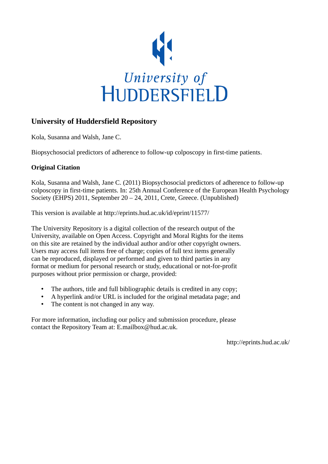

## **University of Huddersfield Repository**

Kola, Susanna and Walsh, Jane C.

Biopsychosocial predictors of adherence to follow-up colposcopy in first-time patients.

### **Original Citation**

Kola, Susanna and Walsh, Jane C. (2011) Biopsychosocial predictors of adherence to follow-up colposcopy in first-time patients. In: 25th Annual Conference of the European Health Psychology Society (EHPS) 2011, September 20 – 24, 2011, Crete, Greece. (Unpublished)

This version is available at http://eprints.hud.ac.uk/id/eprint/11577/

The University Repository is a digital collection of the research output of the University, available on Open Access. Copyright and Moral Rights for the items on this site are retained by the individual author and/or other copyright owners. Users may access full items free of charge; copies of full text items generally can be reproduced, displayed or performed and given to third parties in any format or medium for personal research or study, educational or not-for-profit purposes without prior permission or charge, provided:

- The authors, title and full bibliographic details is credited in any copy;
- A hyperlink and/or URL is included for the original metadata page; and
- The content is not changed in any way.

For more information, including our policy and submission procedure, please contact the Repository Team at: E.mailbox@hud.ac.uk.

http://eprints.hud.ac.uk/